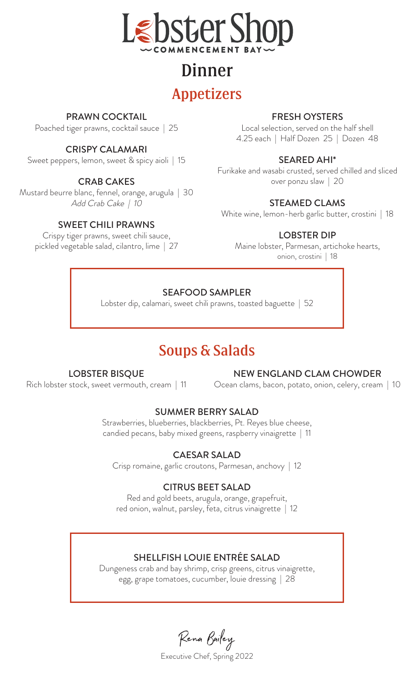

# Dinner

## Appetizers

## PRAWN COCKTAIL

Poached tiger prawns, cocktail sauce | 25

## CRISPY CALAMARI

Sweet peppers, lemon, sweet & spicy aioli | 15

## CRAB CAKES

Mustard beurre blanc, fennel, orange, arugula | 30 Add Crab Cake | 10

## SWEET CHILI PRAWNS

Crispy tiger prawns, sweet chili sauce, pickled vegetable salad, cilantro, lime | 27

## FRESH OYSTERS

Local selection, served on the half shell 4.25 each | Half Dozen 25 | Dozen 48

## SEARED AHI\*

Furikake and wasabi crusted, served chilled and sliced over ponzu slaw | 20

## STEAMED CLAMS

White wine, lemon-herb garlic butter, crostini | 18

## LOBSTER DIP

Maine lobster, Parmesan, artichoke hearts, onion, crostini | 18

## SEAFOOD SAMPLER

Lobster dip, calamari, sweet chili prawns, toasted baguette | 52

## Soups & Salads

## LOBSTER BISQUE

Rich lobster stock, sweet vermouth, cream | 11

### NEW ENGLAND CLAM CHOWDER

Ocean clams, bacon, potato, onion, celery, cream | 10

## SUMMER BERRY SALAD

Strawberries, blueberries, blackberries, Pt. Reyes blue cheese, candied pecans, baby mixed greens, raspberry vinaigrette | 11

## CAESAR SALAD

Crisp romaine, garlic croutons, Parmesan, anchovy | 12

## CITRUS BEET SALAD

Red and gold beets, arugula, orange, grapefruit, red onion, walnut, parsley, feta, citrus vinaigrette | 12

## SHELLFISH LOUIE ENTRÉE SALAD

Dungeness crab and bay shrimp, crisp greens, citrus vinaigrette, egg, grape tomatoes, cucumber, louie dressing | 28

Rena Bailey

Executive Chef, Spring 2022